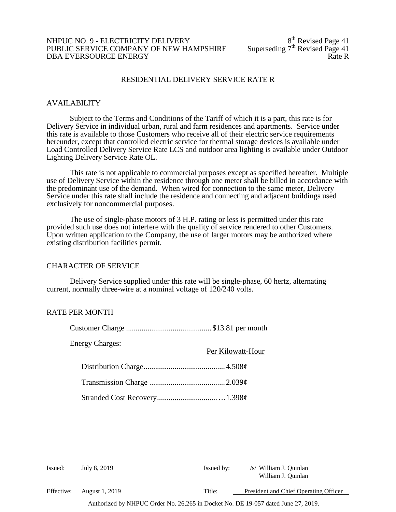#### NHPUC NO. 9 - ELECTRICITY DELIVERY<br>PUBLIC SERVICE COMPANY OF NEW HAMPSHIRE Superseding  $7<sup>th</sup>$  Revised Page 41 PUBLIC SERVICE COMPANY OF NEW HAMPSHIRE Superseding  $7<sup>th</sup>$  Revised Page 41 DBA EVERSOURCE ENERGY DBA EVERSOURCE ENERGY

# RESIDENTIAL DELIVERY SERVICE RATE R

#### AVAILABILITY

Subject to the Terms and Conditions of the Tariff of which it is a part, this rate is for Delivery Service in individual urban, rural and farm residences and apartments. Service under this rate is available to those Customers who receive all of their electric service requirements hereunder, except that controlled electric service for thermal storage devices is available under Load Controlled Delivery Service Rate LCS and outdoor area lighting is available under Outdoor Lighting Delivery Service Rate OL.

This rate is not applicable to commercial purposes except as specified hereafter. Multiple use of Delivery Service within the residence through one meter shall be billed in accordance with the predominant use of the demand. When wired for connection to the same meter, Delivery Service under this rate shall include the residence and connecting and adjacent buildings used exclusively for noncommercial purposes.

The use of single-phase motors of 3 H.P. rating or less is permitted under this rate provided such use does not interfere with the quality of service rendered to other Customers. Upon written application to the Company, the use of larger motors may be authorized where existing distribution facilities permit.

#### CHARACTER OF SERVICE

Delivery Service supplied under this rate will be single-phase, 60 hertz, alternating current, normally three-wire at a nominal voltage of 120/240 volts.

# RATE PER MONTH

| <b>Energy Charges:</b> | Per Kilowatt-Hour |
|------------------------|-------------------|
|                        |                   |
|                        |                   |
|                        |                   |

Authorized by NHPUC Order No. 26,265 in Docket No. DE 19-057 dated June 27, 2019. Issued: July 8, 2019 Issued by: /s/ William J. Quinlan William J. Quinlan Effective: August 1, 2019 Title: President and Chief Operating Officer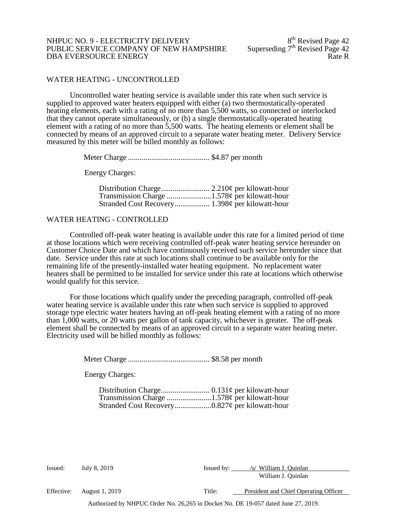### NHPUC NO. 9 - ELECTRICITY DELIVERY<br>PUBLIC SERVICE COMPANY OF NEW HAMPSHIRE Superseding 7<sup>th</sup> Revised Page 42 PUBLIC SERVICE COMPANY OF NEW HAMPSHIRE Superseding 7<sup>th</sup> Revised Page 42<br>DBA EVERSOURCE ENERGY DBA EVERSOURCE ENERGY

### WATER HEATING - UNCONTROLLED

Uncontrolled water heating service is available under this rate when such service is supplied to approved water heaters equipped with either (a) two thermostatically-operated heating elements, each with a rating of no more than 5,500 watts, so connected or interlocked that they cannot operate simultaneously, or (b) a single thermostatically-operated heating element with a rating of no more than 5,500 watts. The heating elements or element shall be connected by means of an approved circuit to a separate water heating meter. Delivery Service measured by this meter will be billed monthly as follows:

Meter Charge .......................................... \$4.87 per month

Energy Charges:

#### WATER HEATING - CONTROLLED

Controlled off-peak water heating is available under this rate for a limited period of time at those locations which were receiving controlled off-peak water heating service hereunder on Customer Choice Date and which have continuously received such service hereunder since that date. Service under this rate at such locations shall continue to be available only for the remaining life of the presently-installed water heating equipment. No replacement water heaters shall be permitted to be installed for service under this rate at locations which otherwise would qualify for this service.

For those locations which qualify under the preceding paragraph, controlled off-peak water heating service is available under this rate when such service is supplied to approved storage type electric water heaters having an off-peak heating element with a rating of no more than 1,000 watts, or 20 watts per gallon of tank capacity, whichever is greater. The off-peak element shall be connected by means of an approved circuit to a separate water heating meter. Electricity used will be billed monthly as follows:

Meter Charge .......................................... \$8.58 per month

Energy Charges:

Effective: August 1, 2019 Title: President and Chief Operating Officer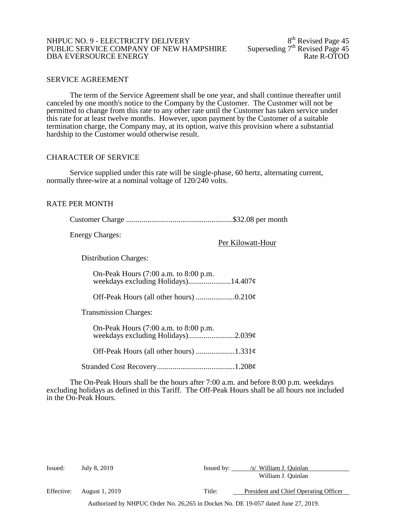### NHPUC NO. 9 - ELECTRICITY DELIVERY<br>PUBLIC SERVICE COMPANY OF NEW HAMPSHIRE Superseding 7<sup>th</sup> Revised Page 45 PUBLIC SERVICE COMPANY OF NEW HAMPSHIRE Superseding 7<sup>th</sup> Revised Page 45<br>DBA EVERSOURCE ENERGY Rate R-OTOD DBA EVERSOURCE ENERGY

#### SERVICE AGREEMENT

The term of the Service Agreement shall be one year, and shall continue thereafter until canceled by one month's notice to the Company by the Customer. The Customer will not be permitted to change from this rate to any other rate until the Customer has taken service under this rate for at least twelve months. However, upon payment by the Customer of a suitable termination charge, the Company may, at its option, waive this provision where a substantial hardship to the Customer would otherwise result.

#### CHARACTER OF SERVICE

Service supplied under this rate will be single-phase, 60 hertz, alternating current, normally three-wire at a nominal voltage of 120/240 volts.

#### RATE PER MONTH

| <b>Energy Charges:</b><br>Per Kilowatt-Hour |
|---------------------------------------------|
| <b>Distribution Charges:</b>                |
| On-Peak Hours (7:00 a.m. to 8:00 p.m.       |
|                                             |
| <b>Transmission Charges:</b>                |
| On-Peak Hours (7:00 a.m. to 8:00 p.m.       |
|                                             |
|                                             |

The On-Peak Hours shall be the hours after 7:00 a.m. and before 8:00 p.m. weekdays excluding holidays as defined in this Tariff. The Off-Peak Hours shall be all hours not included in the On-Peak Hours.

| Issued:    | July 8, 2019          | Issued by: | /s/ William J. Ouinlan                |
|------------|-----------------------|------------|---------------------------------------|
|            |                       |            | William J. Quinlan                    |
| Effective: | <b>August 1, 2019</b> | Title:     | President and Chief Operating Officer |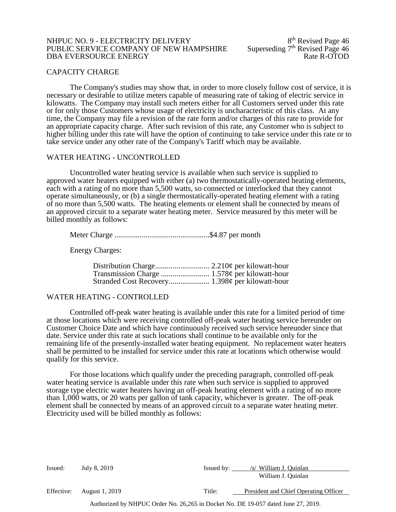#### NHPUC NO. 9 - ELECTRICITY DELIVERY<br>PUBLIC SERVICE COMPANY OF NEW HAMPSHIRE Superseding 7<sup>th</sup> Revised Page 46 PUBLIC SERVICE COMPANY OF NEW HAMPSHIRE Superseding 7<sup>th</sup> Revised Page 46<br>DBA EVERSOURCE ENERGY Rate R-OTOD DBA EVERSOURCE ENERGY

#### CAPACITY CHARGE

The Company's studies may show that, in order to more closely follow cost of service, it is necessary or desirable to utilize meters capable of measuring rate of taking of electric service in kilowatts. The Company may install such meters either for all Customers served under this rate or for only those Customers whose usage of electricity is uncharacteristic of this class. At any time, the Company may file a revision of the rate form and/or charges of this rate to provide for an appropriate capacity charge. After such revision of this rate, any Customer who is subject to higher billing under this rate will have the option of continuing to take service under this rate or to take service under any other rate of the Company's Tariff which may be available.

#### WATER HEATING - UNCONTROLLED

Uncontrolled water heating service is available when such service is supplied to approved water heaters equipped with either (a) two thermostatically-operated heating elements, each with a rating of no more than 5,500 watts, so connected or interlocked that they cannot operate simultaneously, or (b) a single thermostatically-operated heating element with a rating of no more than 5,500 watts. The heating elements or element shall be connected by means of an approved circuit to a separate water heating meter. Service measured by this meter will be billed monthly as follows:

Meter Charge .................................................\$4.87 per month

Energy Charges:

#### WATER HEATING - CONTROLLED

Controlled off-peak water heating is available under this rate for a limited period of time at those locations which were receiving controlled off-peak water heating service hereunder on Customer Choice Date and which have continuously received such service hereunder since that date. Service under this rate at such locations shall continue to be available only for the remaining life of the presently-installed water heating equipment. No replacement water heaters shall be permitted to be installed for service under this rate at locations which otherwise would qualify for this service.

For those locations which qualify under the preceding paragraph, controlled off-peak water heating service is available under this rate when such service is supplied to approved storage type electric water heaters having an off-peak heating element with a rating of no more than 1,000 watts, or 20 watts per gallon of tank capacity, whichever is greater. The off-peak element shall be connected by means of an approved circuit to a separate water heating meter. Electricity used will be billed monthly as follows:

| Issued:    | July 8, 2019   | Issued by: | /s/ William J. Quinlan                |
|------------|----------------|------------|---------------------------------------|
|            |                |            | William J. Quinlan                    |
| Effective: | August 1, 2019 | Title:     | President and Chief Operating Officer |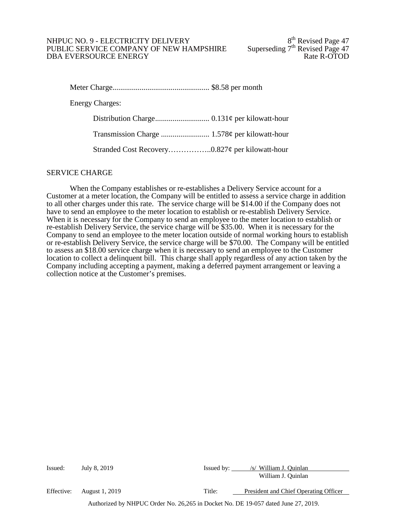### NHPUC NO. 9 - ELECTRICITY DELIVERY<br>PUBLIC SERVICE COMPANY OF NEW HAMPSHIRE Superseding 7<sup>th</sup> Revised Page 47 PUBLIC SERVICE COMPANY OF NEW HAMPSHIRE Superseding 7<sup>th</sup> Revised Page 47<br>DBA EVERSOURCE ENERGY Rate R-OTOD DBA EVERSOURCE ENERGY

Meter Charge.................................................. \$8.58 per month Energy Charges: Distribution Charge............................ 0.131¢ per kilowatt-hour Transmission Charge ......................... 1.578¢ per kilowatt-hour

Stranded Cost Recovery……………..0.827¢ per kilowatt-hour

# SERVICE CHARGE

When the Company establishes or re-establishes a Delivery Service account for a Customer at a meter location, the Company will be entitled to assess a service charge in addition to all other charges under this rate. The service charge will be \$14.00 if the Company does not have to send an employee to the meter location to establish or re-establish Delivery Service. When it is necessary for the Company to send an employee to the meter location to establish or re-establish Delivery Service, the service charge will be \$35.00. When it is necessary for the Company to send an employee to the meter location outside of normal working hours to establish or re-establish Delivery Service, the service charge will be \$70.00. The Company will be entitled to assess an \$18.00 service charge when it is necessary to send an employee to the Customer location to collect a delinquent bill. This charge shall apply regardless of any action taken by the Company including accepting a payment, making a deferred payment arrangement or leaving a collection notice at the Customer's premises.

| Issued:    | July 8, 2019                                                                      | Issued by: | /s/ William J. Ouinlan                |
|------------|-----------------------------------------------------------------------------------|------------|---------------------------------------|
|            |                                                                                   |            | William J. Quinlan                    |
| Effective: | <b>August 1, 2019</b>                                                             | Title:     | President and Chief Operating Officer |
|            | Authorized by NHPUC Order No. 26,265 in Docket No. DE 19-057 dated June 27, 2019. |            |                                       |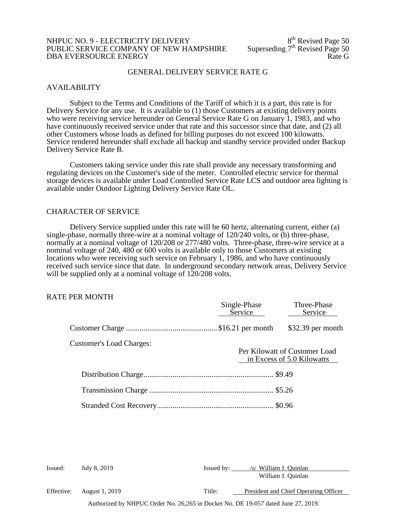#### NHPUC NO. 9 - ELECTRICITY DELIVERY<br>
PUBLIC SERVICE COMPANY OF NEW HAMPSHIRE Superseding 7<sup>th</sup> Revised Page 50 PUBLIC SERVICE COMPANY OF NEW HAMPSHIRE Superseding 7<sup>th</sup> Revised Page 50<br>DBA EVERSOURCE ENERGY DBA EVERSOURCE ENERGY

#### GENERAL DELIVERY SERVICE RATE G

#### AVAILABILITY

Subject to the Terms and Conditions of the Tariff of which it is a part, this rate is for Delivery Service for any use. It is available to (1) those Customers at existing delivery points who were receiving service hereunder on General Service Rate G on January 1, 1983, and who have continuously received service under that rate and this successor since that date, and (2) all other Customers whose loads as defined for billing purposes do not exceed 100 kilowatts. Service rendered hereunder shall exclude all backup and standby service provided under Backup Delivery Service Rate B.

Customers taking service under this rate shall provide any necessary transforming and regulating devices on the Customer's side of the meter. Controlled electric service for thermal storage devices is available under Load Controlled Service Rate LCS and outdoor area lighting is available under Outdoor Lighting Delivery Service Rate OL.

#### CHARACTER OF SERVICE

Delivery Service supplied under this rate will be 60 hertz, alternating current, either (a) single-phase, normally three-wire at a nominal voltage of 120/240 volts, or (b) three-phase, normally at a nominal voltage of 120/208 or 277/480 volts. Three-phase, three-wire service at a nominal voltage of 240, 480 or 600 volts is available only to those Customers at existing locations who were receiving such service on February 1, 1986, and who have continuously received such service since that date. In underground secondary network areas, Delivery Service will be supplied only at a nominal voltage of  $120/208$  volts.

#### RATE PER MONTH

|                                 | Single-Phase<br>Service | Three-Phase<br>Service                                      |
|---------------------------------|-------------------------|-------------------------------------------------------------|
|                                 |                         | $$32.39$ per month                                          |
| <b>Customer's Load Charges:</b> |                         | Per Kilowatt of Customer Load<br>in Excess of 5.0 Kilowatts |
|                                 |                         |                                                             |
|                                 |                         |                                                             |
|                                 |                         |                                                             |
|                                 |                         |                                                             |

| Issued:    | July 8, 2019          | Issued by: | /s/ William J. Quinlan<br>William J. Quinlan |
|------------|-----------------------|------------|----------------------------------------------|
| Effective: | <b>August 1, 2019</b> | Title:     | President and Chief Operating Officer        |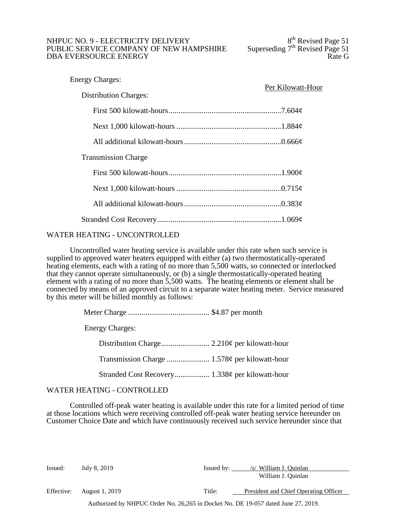### NHPUC NO. 9 - ELECTRICITY DELIVERY<br>
PUBLIC SERVICE COMPANY OF NEW HAMPSHIRE Superseding 7<sup>th</sup> Revised Page 51 PUBLIC SERVICE COMPANY OF NEW HAMPSHIRE Superseding  $7<sup>th</sup>$  Revised Page 51<br>DBA EVERSOURCE ENERGY DBA EVERSOURCE ENERGY

| <b>Energy Charges:</b>       | Per Kilowatt-Hour |  |
|------------------------------|-------------------|--|
| <b>Distribution Charges:</b> |                   |  |
|                              |                   |  |
|                              |                   |  |
|                              |                   |  |
| <b>Transmission Charge</b>   |                   |  |
|                              |                   |  |
|                              |                   |  |
|                              |                   |  |
|                              |                   |  |

# WATER HEATING - UNCONTROLLED

Uncontrolled water heating service is available under this rate when such service is supplied to approved water heaters equipped with either (a) two thermostatically-operated heating elements, each with a rating of no more than 5,500 watts, so connected or interlocked that they cannot operate simultaneously, or (b) a single thermostatically-operated heating element with a rating of no more than 5,500 watts. The heating elements or element shall be connected by means of an approved circuit to a separate water heating meter. Service measured by this meter will be billed monthly as follows:

| <b>Energy Charges:</b> |  |
|------------------------|--|
|                        |  |
|                        |  |
|                        |  |

# WATER HEATING - CONTROLLED

Controlled off-peak water heating is available under this rate for a limited period of time at those locations which were receiving controlled off-peak water heating service hereunder on Customer Choice Date and which have continuously received such service hereunder since that

| Issued:    | July 8, 2019          | Issued by: | /s/ William J. Ouinlan                |
|------------|-----------------------|------------|---------------------------------------|
|            |                       |            | William J. Quinlan                    |
| Effective: | <b>August 1, 2019</b> | Title:     | President and Chief Operating Officer |
|            |                       |            |                                       |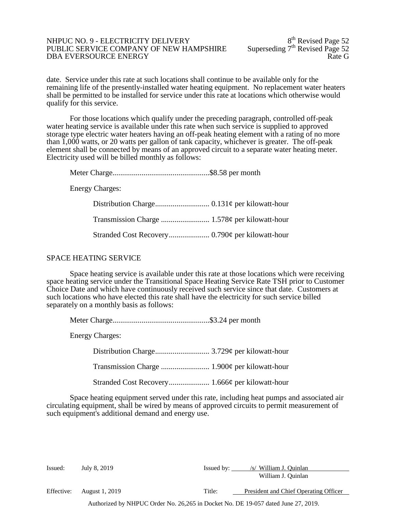#### NHPUC NO. 9 - ELECTRICITY DELIVERY<br>
PUBLIC SERVICE COMPANY OF NEW HAMPSHIRE Superseding 7<sup>th</sup> Revised Page 52 PUBLIC SERVICE COMPANY OF NEW HAMPSHIRE Superseding 7<sup>th</sup> Revised Page 52<br>DBA EVERSOURCE ENERGY DBA EVERSOURCE ENERGY

date. Service under this rate at such locations shall continue to be available only for the remaining life of the presently-installed water heating equipment. No replacement water heaters shall be permitted to be installed for service under this rate at locations which otherwise would qualify for this service.

For those locations which qualify under the preceding paragraph, controlled off-peak water heating service is available under this rate when such service is supplied to approved storage type electric water heaters having an off-peak heating element with a rating of no more than 1,000 watts, or 20 watts per gallon of tank capacity, whichever is greater. The off-peak element shall be connected by means of an approved circuit to a separate water heating meter. Electricity used will be billed monthly as follows:

Meter Charge..................................................\$8.58 per month

Energy Charges:

### SPACE HEATING SERVICE

Space heating service is available under this rate at those locations which were receiving space heating service under the Transitional Space Heating Service Rate TSH prior to Customer Choice Date and which have continuously received such service since that date. Customers at such locations who have elected this rate shall have the electricity for such service billed separately on a monthly basis as follows:

|--|--|--|

Energy Charges:

Distribution Charge............................ 3.729¢ per kilowatt-hour Transmission Charge ......................... 1.900¢ per kilowatt-hour Stranded Cost Recovery..................... 1.666¢ per kilowatt-hour

Space heating equipment served under this rate, including heat pumps and associated air circulating equipment, shall be wired by means of approved circuits to permit measurement of such equipment's additional demand and energy use.

| Issued:    | July 8, 2019          | Issued by: | /s/ William J. Ouinlan                |
|------------|-----------------------|------------|---------------------------------------|
|            |                       |            | William J. Quinlan                    |
| Effective: | <b>August 1, 2019</b> | Title:     | President and Chief Operating Officer |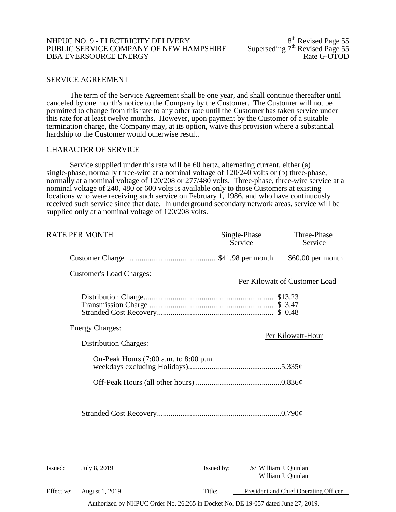### NHPUC NO. 9 - ELECTRICITY DELIVERY<br>
PUBLIC SERVICE COMPANY OF NEW HAMPSHIRE Superseding 7<sup>th</sup> Revised Page 55 PUBLIC SERVICE COMPANY OF NEW HAMPSHIRE Superseding 7<sup>th</sup> Revised Page 55<br>DBA EVERSOURCE ENERGY Rate G-OTOD DBA EVERSOURCE ENERGY

#### SERVICE AGREEMENT

The term of the Service Agreement shall be one year, and shall continue thereafter until canceled by one month's notice to the Company by the Customer. The Customer will not be permitted to change from this rate to any other rate until the Customer has taken service under this rate for at least twelve months. However, upon payment by the Customer of a suitable termination charge, the Company may, at its option, waive this provision where a substantial hardship to the Customer would otherwise result.

#### CHARACTER OF SERVICE

Service supplied under this rate will be 60 hertz, alternating current, either (a) single-phase, normally three-wire at a nominal voltage of 120/240 volts or (b) three-phase, normally at a nominal voltage of 120/208 or 277/480 volts. Three-phase, three-wire service at a nominal voltage of 240, 480 or 600 volts is available only to those Customers at existing locations who were receiving such service on February 1, 1986, and who have continuously received such service since that date. In underground secondary network areas, service will be supplied only at a nominal voltage of 120/208 volts.

| RATE PER MONTH          |                                       | Single-Phase<br>Service           | Three-Phase<br>Service        |
|-------------------------|---------------------------------------|-----------------------------------|-------------------------------|
|                         |                                       |                                   | \$60.00 per month             |
|                         | <b>Customer's Load Charges:</b>       |                                   | Per Kilowatt of Customer Load |
|                         |                                       |                                   |                               |
| <b>Energy Charges:</b>  |                                       |                                   | Per Kilowatt-Hour             |
|                         | <b>Distribution Charges:</b>          |                                   |                               |
|                         | On-Peak Hours (7:00 a.m. to 8:00 p.m. |                                   |                               |
|                         |                                       |                                   |                               |
|                         |                                       |                                   |                               |
| Issued:<br>July 8, 2019 |                                       | Issued by: /s/ William J. Quinlan | William J. Quinlan            |

Authorized by NHPUC Order No. 26,265 in Docket No. DE 19-057 dated June 27, 2019. Effective: August 1, 2019 Title: President and Chief Operating Officer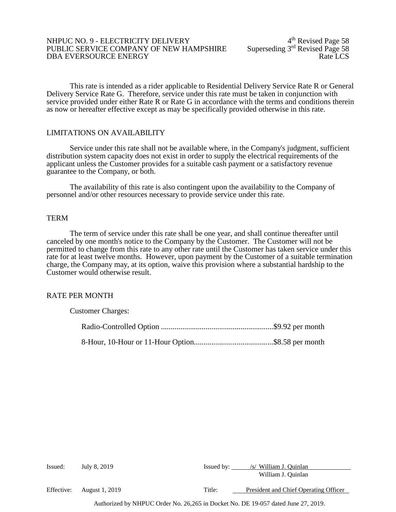#### NHPUC NO. 9 - ELECTRICITY DELIVERY<br>PUBLIC SERVICE COMPANY OF NEW HAMPSHIRE Superseding 3<sup>rd</sup> Revised Page 58 PUBLIC SERVICE COMPANY OF NEW HAMPSHIRE Superseding 3rd Revised Page 58<br>DBA EVERSOURCE ENERGY DBA EVERSOURCE ENERGY

This rate is intended as a rider applicable to Residential Delivery Service Rate R or General Delivery Service Rate G. Therefore, service under this rate must be taken in conjunction with service provided under either Rate R or Rate G in accordance with the terms and conditions therein as now or hereafter effective except as may be specifically provided otherwise in this rate.

#### LIMITATIONS ON AVAILABILITY

Service under this rate shall not be available where, in the Company's judgment, sufficient distribution system capacity does not exist in order to supply the electrical requirements of the applicant unless the Customer provides for a suitable cash payment or a satisfactory revenue guarantee to the Company, or both.

The availability of this rate is also contingent upon the availability to the Company of personnel and/or other resources necessary to provide service under this rate.

### **TERM**

The term of service under this rate shall be one year, and shall continue thereafter until canceled by one month's notice to the Company by the Customer. The Customer will not be permitted to change from this rate to any other rate until the Customer has taken service under this rate for at least twelve months. However, upon payment by the Customer of a suitable termination charge, the Company may, at its option, waive this provision where a substantial hardship to the Customer would otherwise result.

#### RATE PER MONTH

| <b>Customer Charges:</b> |  |
|--------------------------|--|
|                          |  |
|                          |  |

| Issued:    | July 8, 2019          | Issued by: | /s/ William J. Ouinlan                |
|------------|-----------------------|------------|---------------------------------------|
|            |                       |            | William J. Quinlan                    |
| Effective: | <b>August 1, 2019</b> | Title:     | President and Chief Operating Officer |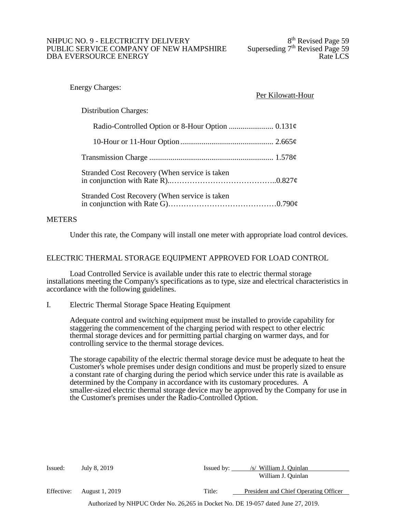#### NHPUC NO. 9 - ELECTRICITY DELIVERY<br>PUBLIC SERVICE COMPANY OF NEW HAMPSHIRE Superseding 7<sup>th</sup> Revised Page 59 PUBLIC SERVICE COMPANY OF NEW HAMPSHIRE Superseding 7<sup>th</sup> Revised Page 59<br>DBA EVERSOURCE ENERGY DBA EVERSOURCE ENERGY

### Energy Charges:

# Per Kilowatt-Hour

Distribution Charges:

| Stranded Cost Recovery (When service is taken |  |
|-----------------------------------------------|--|
| Stranded Cost Recovery (When service is taken |  |

# METERS

Under this rate, the Company will install one meter with appropriate load control devices.

# ELECTRIC THERMAL STORAGE EQUIPMENT APPROVED FOR LOAD CONTROL

Load Controlled Service is available under this rate to electric thermal storage installations meeting the Company's specifications as to type, size and electrical characteristics in accordance with the following guidelines.

I. Electric Thermal Storage Space Heating Equipment

Adequate control and switching equipment must be installed to provide capability for staggering the commencement of the charging period with respect to other electric thermal storage devices and for permitting partial charging on warmer days, and for controlling service to the thermal storage devices.

The storage capability of the electric thermal storage device must be adequate to heat the Customer's whole premises under design conditions and must be properly sized to ensure a constant rate of charging during the period which service under this rate is available as determined by the Company in accordance with its customary procedures. A smaller-sized electric thermal storage device may be approved by the Company for use in the Customer's premises under the Radio-Controlled Option.

| Issued:    | July 8, 2019   | Issued by: | /s/ William J. Ouinlan                |
|------------|----------------|------------|---------------------------------------|
|            |                |            | William J. Quinlan                    |
| Effective: | August 1, 2019 | Title:     | President and Chief Operating Officer |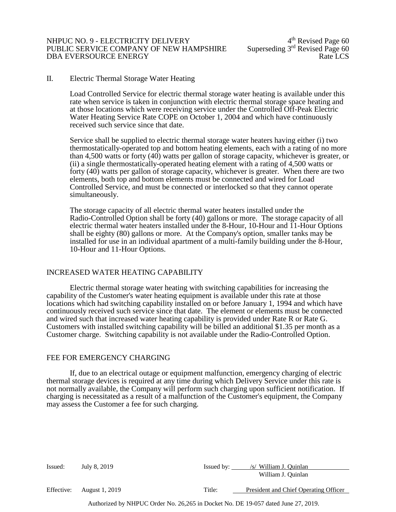#### NHPUC NO. 9 - ELECTRICITY DELIVERY<br>PUBLIC SERVICE COMPANY OF NEW HAMPSHIRE Superseding 3<sup>rd</sup> Revised Page 60 PUBLIC SERVICE COMPANY OF NEW HAMPSHIRE Superseding 3rd Revised Page 60<br>DBA EVERSOURCE ENERGY DBA EVERSOURCE ENERGY

# II. Electric Thermal Storage Water Heating

Load Controlled Service for electric thermal storage water heating is available under this rate when service is taken in conjunction with electric thermal storage space heating and at those locations which were receiving service under the Controlled Off-Peak Electric Water Heating Service Rate COPE on October 1, 2004 and which have continuously received such service since that date.

Service shall be supplied to electric thermal storage water heaters having either (i) two thermostatically-operated top and bottom heating elements, each with a rating of no more than 4,500 watts or forty (40) watts per gallon of storage capacity, whichever is greater, or (ii) a single thermostatically-operated heating element with a rating of 4,500 watts or forty (40) watts per gallon of storage capacity, whichever is greater. When there are two elements, both top and bottom elements must be connected and wired for Load Controlled Service, and must be connected or interlocked so that they cannot operate simultaneously.

The storage capacity of all electric thermal water heaters installed under the Radio-Controlled Option shall be forty (40) gallons or more. The storage capacity of all electric thermal water heaters installed under the 8-Hour, 10-Hour and 11-Hour Options shall be eighty (80) gallons or more. At the Company's option, smaller tanks may be installed for use in an individual apartment of a multi-family building under the 8-Hour, 10-Hour and 11-Hour Options.

#### INCREASED WATER HEATING CAPABILITY

Electric thermal storage water heating with switching capabilities for increasing the capability of the Customer's water heating equipment is available under this rate at those locations which had switching capability installed on or before January 1, 1994 and which have continuously received such service since that date. The element or elements must be connected and wired such that increased water heating capability is provided under Rate R or Rate G. Customers with installed switching capability will be billed an additional \$1.35 per month as a Customer charge. Switching capability is not available under the Radio-Controlled Option.

#### FEE FOR EMERGENCY CHARGING

If, due to an electrical outage or equipment malfunction, emergency charging of electric thermal storage devices is required at any time during which Delivery Service under this rate is not normally available, the Company will perform such charging upon sufficient notification. If charging is necessitated as a result of a malfunction of the Customer's equipment, the Company may assess the Customer a fee for such charging.

| Issued:    | July 8, 2019          | Issued by: | /s/ William J. Ouinlan<br>William J. Quinlan |
|------------|-----------------------|------------|----------------------------------------------|
| Effective: | <b>August 1, 2019</b> | Title:     | President and Chief Operating Officer        |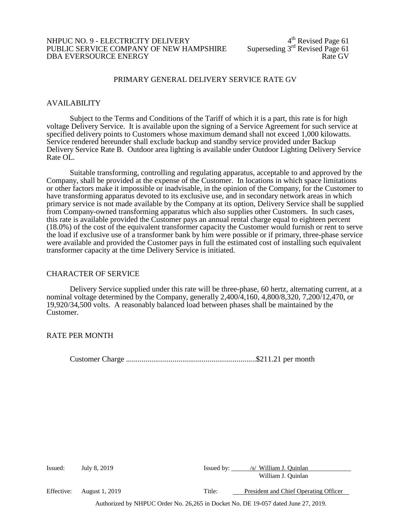# NHPUC NO. 9 - ELECTRICITY DELIVERY<br>PUBLIC SERVICE COMPANY OF NEW HAMPSHIRE Superseding 3<sup>rd</sup> Revised Page 61 PUBLIC SERVICE COMPANY OF NEW HAMPSHIRE Superseding 3<sup>rd</sup> Revised Page 61<br>DBA EVERSOURCE ENERGY DBA EVERSOURCE ENERGY

# PRIMARY GENERAL DELIVERY SERVICE RATE GV

### AVAILABILITY

Subject to the Terms and Conditions of the Tariff of which it is a part, this rate is for high voltage Delivery Service. It is available upon the signing of a Service Agreement for such service at specified delivery points to Customers whose maximum demand shall not exceed 1,000 kilowatts. Service rendered hereunder shall exclude backup and standby service provided under Backup Delivery Service Rate B. Outdoor area lighting is available under Outdoor Lighting Delivery Service Rate OL.

Suitable transforming, controlling and regulating apparatus, acceptable to and approved by the Company, shall be provided at the expense of the Customer. In locations in which space limitations or other factors make it impossible or inadvisable, in the opinion of the Company, for the Customer to have transforming apparatus devoted to its exclusive use, and in secondary network areas in which primary service is not made available by the Company at its option, Delivery Service shall be supplied from Company-owned transforming apparatus which also supplies other Customers. In such cases, this rate is available provided the Customer pays an annual rental charge equal to eighteen percent (18.0%) of the cost of the equivalent transformer capacity the Customer would furnish or rent to serve the load if exclusive use of a transformer bank by him were possible or if primary, three-phase service were available and provided the Customer pays in full the estimated cost of installing such equivalent transformer capacity at the time Delivery Service is initiated.

#### CHARACTER OF SERVICE

Delivery Service supplied under this rate will be three-phase, 60 hertz, alternating current, at a nominal voltage determined by the Company, generally 2,400/4,160, 4,800/8,320, 7,200/12,470, or 19,920/34,500 volts. A reasonably balanced load between phases shall be maintained by the Customer.

#### RATE PER MONTH

Customer Charge ...................................................................\$211.21 per month

| Issued:    | July 8, 2019          | Issued by: | /s/ William J. Ouinlan                |
|------------|-----------------------|------------|---------------------------------------|
|            |                       |            | William J. Quinlan                    |
| Effective: | <b>August 1, 2019</b> | Title:     | President and Chief Operating Officer |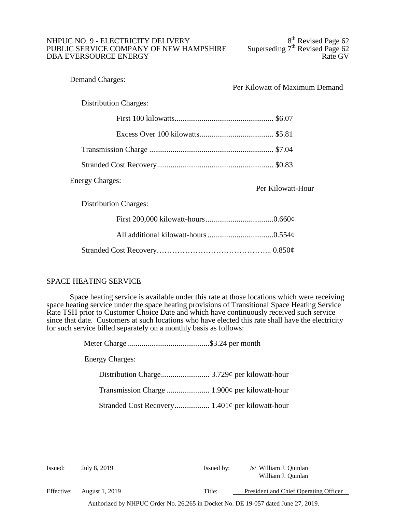# NHPUC NO. 9 - ELECTRICITY DELIVERY<br>
PUBLIC SERVICE COMPANY OF NEW HAMPSHIRE Superseding 7<sup>th</sup> Revised Page 62 PUBLIC SERVICE COMPANY OF NEW HAMPSHIRE Superseding  $7<sup>th</sup>$  Revised Page 62<br>DBA EVERSOURCE ENERGY DBA EVERSOURCE ENERGY

| <b>Demand Charges:</b>       | Per Kilowatt of Maximum Demand |
|------------------------------|--------------------------------|
| <b>Distribution Charges:</b> |                                |
|                              |                                |
|                              |                                |
|                              |                                |
|                              |                                |
| <b>Energy Charges:</b>       | Per Kilowatt-Hour              |
| <b>Distribution Charges:</b> |                                |
|                              |                                |
|                              |                                |
|                              |                                |

# SPACE HEATING SERVICE

Space heating service is available under this rate at those locations which were receiving space heating service under the space heating provisions of Transitional Space Heating Service Rate TSH prior to Customer Choice Date and which have continuously received such service since that date. Customers at such locations who have elected this rate shall have the electricity for such service billed separately on a monthly basis as follows:

> Meter Charge ..........................................\$3.24 per month Energy Charges: Distribution Charge......................... 3.729¢ per kilowatt-hour Transmission Charge ...................... 1.900¢ per kilowatt-hour Stranded Cost Recovery.................. 1.401¢ per kilowatt-hour

Issued: July 8, 2019 Issued by: /s/ William J. Quinlan William J. Quinlan

Effective: August 1, 2019 Title: President and Chief Operating Officer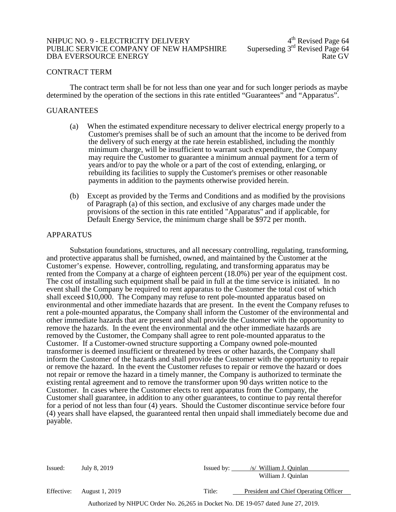#### NHPUC NO. 9 - ELECTRICITY DELIVERY<br>PUBLIC SERVICE COMPANY OF NEW HAMPSHIRE Superseding 3<sup>rd</sup> Revised Page 64 PUBLIC SERVICE COMPANY OF NEW HAMPSHIRE Superseding 3rd Revised Page 64<br>DBA EVERSOURCE ENERGY DBA EVERSOURCE ENERGY

#### CONTRACT TERM

The contract term shall be for not less than one year and for such longer periods as maybe determined by the operation of the sections in this rate entitled "Guarantees" and "Apparatus".

#### GUARANTEES

- (a) When the estimated expenditure necessary to deliver electrical energy properly to a Customer's premises shall be of such an amount that the income to be derived from the delivery of such energy at the rate herein established, including the monthly minimum charge, will be insufficient to warrant such expenditure, the Company may require the Customer to guarantee a minimum annual payment for a term of years and/or to pay the whole or a part of the cost of extending, enlarging, or rebuilding its facilities to supply the Customer's premises or other reasonable payments in addition to the payments otherwise provided herein.
- (b) Except as provided by the Terms and Conditions and as modified by the provisions of Paragraph (a) of this section, and exclusive of any charges made under the provisions of the section in this rate entitled "Apparatus" and if applicable, for Default Energy Service, the minimum charge shall be \$972 per month.

#### APPARATUS

Substation foundations, structures, and all necessary controlling, regulating, transforming, and protective apparatus shall be furnished, owned, and maintained by the Customer at the Customer's expense. However, controlling, regulating, and transforming apparatus may be rented from the Company at a charge of eighteen percent (18.0%) per year of the equipment cost. The cost of installing such equipment shall be paid in full at the time service is initiated. In no event shall the Company be required to rent apparatus to the Customer the total cost of which shall exceed \$10,000. The Company may refuse to rent pole-mounted apparatus based on environmental and other immediate hazards that are present. In the event the Company refuses to rent a pole-mounted apparatus, the Company shall inform the Customer of the environmental and other immediate hazards that are present and shall provide the Customer with the opportunity to remove the hazards. In the event the environmental and the other immediate hazards are removed by the Customer, the Company shall agree to rent pole-mounted apparatus to the Customer. If a Customer-owned structure supporting a Company owned pole-mounted transformer is deemed insufficient or threatened by trees or other hazards, the Company shall inform the Customer of the hazards and shall provide the Customer with the opportunity to repair or remove the hazard. In the event the Customer refuses to repair or remove the hazard or does not repair or remove the hazard in a timely manner, the Company is authorized to terminate the existing rental agreement and to remove the transformer upon 90 days written notice to the Customer. In cases where the Customer elects to rent apparatus from the Company, the Customer shall guarantee, in addition to any other guarantees, to continue to pay rental therefor for a period of not less than four (4) years. Should the Customer discontinue service before four (4) years shall have elapsed, the guaranteed rental then unpaid shall immediately become due and payable.

| Issued:    | July 8, 2019          | Issued by: | /s/ William J. Ouinlan                |
|------------|-----------------------|------------|---------------------------------------|
|            |                       |            | William J. Quinlan                    |
| Effective: | <b>August 1, 2019</b> | Title:     | President and Chief Operating Officer |
|            |                       |            |                                       |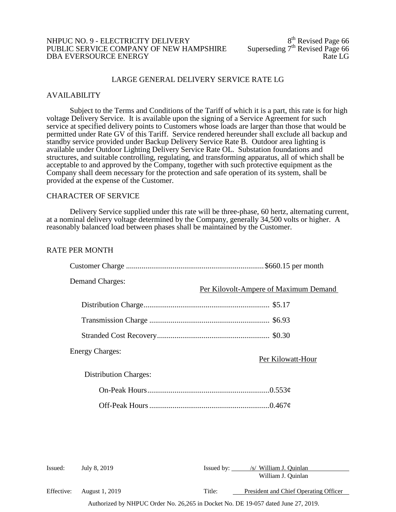### NHPUC NO. 9 - ELECTRICITY DELIVERY<br>PUBLIC SERVICE COMPANY OF NEW HAMPSHIRE Superseding 7<sup>th</sup> Revised Page 66 PUBLIC SERVICE COMPANY OF NEW HAMPSHIRE Superseding  $7<sup>th</sup>$  Revised Page 66<br>DBA EVERSOURCE ENERGY DBA EVERSOURCE ENERGY

### LARGE GENERAL DELIVERY SERVICE RATE LG

#### AVAILABILITY

Subject to the Terms and Conditions of the Tariff of which it is a part, this rate is for high voltage Delivery Service. It is available upon the signing of a Service Agreement for such service at specified delivery points to Customers whose loads are larger than those that would be permitted under Rate GV of this Tariff. Service rendered hereunder shall exclude all backup and standby service provided under Backup Delivery Service Rate B. Outdoor area lighting is available under Outdoor Lighting Delivery Service Rate OL. Substation foundations and structures, and suitable controlling, regulating, and transforming apparatus, all of which shall be acceptable to and approved by the Company, together with such protective equipment as the Company shall deem necessary for the protection and safe operation of its system, shall be provided at the expense of the Customer.

#### CHARACTER OF SERVICE

Delivery Service supplied under this rate will be three-phase, 60 hertz, alternating current, at a nominal delivery voltage determined by the Company, generally 34,500 volts or higher. A reasonably balanced load between phases shall be maintained by the Customer.

#### RATE PER MONTH

| <b>Demand Charges:</b>       | Per Kilovolt-Ampere of Maximum Demand |
|------------------------------|---------------------------------------|
|                              |                                       |
|                              |                                       |
|                              |                                       |
| <b>Energy Charges:</b>       | Per Kilowatt-Hour                     |
| <b>Distribution Charges:</b> |                                       |
|                              |                                       |
|                              |                                       |
|                              |                                       |
|                              |                                       |

| Issued:    | July 8, 2019   | Issued by:                                                                        | /s/ William J. Ouinlan<br>William J. Quinlan |
|------------|----------------|-----------------------------------------------------------------------------------|----------------------------------------------|
| Effective: | August 1, 2019 | Title:                                                                            | President and Chief Operating Officer        |
|            |                | Authorized by NHPUC Order No. 26,265 in Docket No. DE 19-057 dated June 27, 2019. |                                              |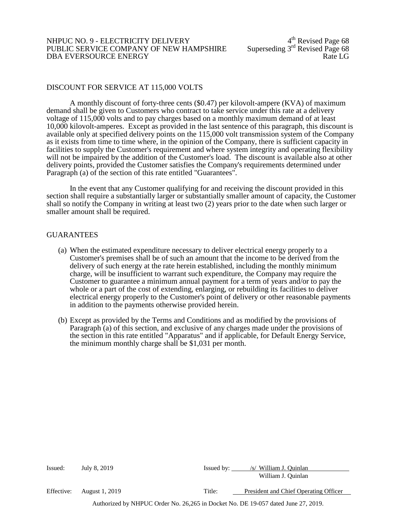### NHPUC NO. 9 - ELECTRICITY DELIVERY<br>
PUBLIC SERVICE COMPANY OF NEW HAMPSHIRE Superseding 3<sup>rd</sup> Revised Page 68 PUBLIC SERVICE COMPANY OF NEW HAMPSHIRE Superseding 3rd Revised Page 68<br>DBA EVERSOURCE ENERGY DBA EVERSOURCE ENERGY

#### DISCOUNT FOR SERVICE AT 115,000 VOLTS

A monthly discount of forty-three cents (\$0.47) per kilovolt-ampere (KVA) of maximum demand shall be given to Customers who contract to take service under this rate at a delivery voltage of 115,000 volts and to pay charges based on a monthly maximum demand of at least 10,000 kilovolt-amperes. Except as provided in the last sentence of this paragraph, this discount is available only at specified delivery points on the 115,000 volt transmission system of the Company as it exists from time to time where, in the opinion of the Company, there is sufficient capacity in facilities to supply the Customer's requirement and where system integrity and operating flexibility will not be impaired by the addition of the Customer's load. The discount is available also at other delivery points, provided the Customer satisfies the Company's requirements determined under Paragraph (a) of the section of this rate entitled "Guarantees".

In the event that any Customer qualifying for and receiving the discount provided in this section shall require a substantially larger or substantially smaller amount of capacity, the Customer shall so notify the Company in writing at least two (2) years prior to the date when such larger or smaller amount shall be required.

#### GUARANTEES

- (a) When the estimated expenditure necessary to deliver electrical energy properly to a Customer's premises shall be of such an amount that the income to be derived from the delivery of such energy at the rate herein established, including the monthly minimum charge, will be insufficient to warrant such expenditure, the Company may require the Customer to guarantee a minimum annual payment for a term of years and/or to pay the whole or a part of the cost of extending, enlarging, or rebuilding its facilities to deliver electrical energy properly to the Customer's point of delivery or other reasonable payments in addition to the payments otherwise provided herein.
- (b) Except as provided by the Terms and Conditions and as modified by the provisions of Paragraph (a) of this section, and exclusive of any charges made under the provisions of the section in this rate entitled "Apparatus" and if applicable, for Default Energy Service, the minimum monthly charge shall be \$1,031 per month.

| Issued:    | July 8, 2019                                                                                                                                                                                                                                                                                                                       | Issued by: | /s/ William J. Quinlan                |
|------------|------------------------------------------------------------------------------------------------------------------------------------------------------------------------------------------------------------------------------------------------------------------------------------------------------------------------------------|------------|---------------------------------------|
|            |                                                                                                                                                                                                                                                                                                                                    |            | William J. Quinlan                    |
| Effective: | August 1, 2019                                                                                                                                                                                                                                                                                                                     | Title:     | President and Chief Operating Officer |
|            | $\mathbf{1}$ $\mathbf{1}$ $\mathbf{1}$ $\mathbf{1}$ $\mathbf{1}$ $\mathbf{1}$ $\mathbf{1}$ $\mathbf{1}$ $\mathbf{1}$ $\mathbf{1}$ $\mathbf{1}$ $\mathbf{1}$ $\mathbf{1}$ $\mathbf{1}$ $\mathbf{1}$ $\mathbf{1}$ $\mathbf{1}$ $\mathbf{1}$ $\mathbf{1}$ $\mathbf{1}$ $\mathbf{1}$ $\mathbf{1}$ $\mathbf{1}$ $\mathbf{1}$ $\mathbf{$ |            | 27.2010                               |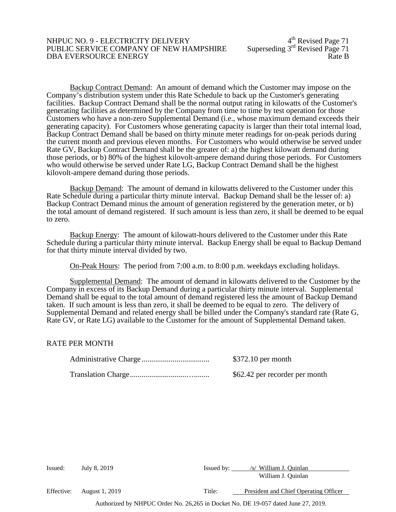### NHPUC NO. 9 - ELECTRICITY DELIVERY<br>PUBLIC SERVICE COMPANY OF NEW HAMPSHIRE Superseding 3<sup>rd</sup> Revised Page 71 PUBLIC SERVICE COMPANY OF NEW HAMPSHIRE Superseding 3rd Revised Page 71<br>DBA EVERSOURCE ENERGY DBA EVERSOURCE ENERGY

Backup Contract Demand: An amount of demand which the Customer may impose on the Company's distribution system under this Rate Schedule to back up the Customer's generating facilities. Backup Contract Demand shall be the normal output rating in kilowatts of the Customer's generating facilities as determined by the Company from time to time by test operation for those Customers who have a non-zero Supplemental Demand (i.e., whose maximum demand exceeds their generating capacity). For Customers whose generating capacity is larger than their total internal load, Backup Contract Demand shall be based on thirty minute meter readings for on-peak periods during the current month and previous eleven months. For Customers who would otherwise be served under Rate GV, Backup Contract Demand shall be the greater of: a) the highest kilowatt demand during those periods, or b) 80% of the highest kilovolt-ampere demand during those periods. For Customers who would otherwise be served under Rate LG, Backup Contract Demand shall be the highest kilovolt-ampere demand during those periods.

Backup Demand: The amount of demand in kilowatts delivered to the Customer under this Rate Schedule during a particular thirty minute interval. Backup Demand shall be the lesser of: a) Backup Contract Demand minus the amount of generation registered by the generation meter, or b) the total amount of demand registered. If such amount is less than zero, it shall be deemed to be equal to zero.

Backup Energy: The amount of kilowatt-hours delivered to the Customer under this Rate Schedule during a particular thirty minute interval. Backup Energy shall be equal to Backup Demand for that thirty minute interval divided by two.

On-Peak Hours: The period from 7:00 a.m. to 8:00 p.m. weekdays excluding holidays.

Supplemental Demand: The amount of demand in kilowatts delivered to the Customer by the Company in excess of its Backup Demand during a particular thirty minute interval. Supplemental Demand shall be equal to the total amount of demand registered less the amount of Backup Demand taken. If such amount is less than zero, it shall be deemed to be equal to zero. The delivery of Supplemental Demand and related energy shall be billed under the Company's standard rate (Rate G, Rate GV, or Rate LG) available to the Customer for the amount of Supplemental Demand taken.

# RATE PER MONTH

| $$372.10$ per month            |
|--------------------------------|
| \$62.42 per recorder per month |

| Issued:    | July 8, 2019   | Issued by: | /s/ William J. Quinlan<br>William J. Quinlan |
|------------|----------------|------------|----------------------------------------------|
| Effective: | August 1, 2019 | Title:     | President and Chief Operating Officer        |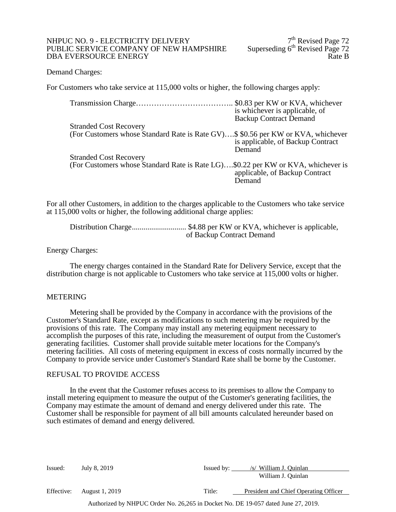### NHPUC NO. 9 - ELECTRICITY DELIVERY<br>
PUBLIC SERVICE COMPANY OF NEW HAMPSHIRE Superseding 6<sup>th</sup> Revised Page 72 PUBLIC SERVICE COMPANY OF NEW HAMPSHIRE Superseding 6<sup>th</sup> Revised Page 72<br>DBA EVERSOURCE ENERGY DBA EVERSOURCE ENERGY

#### Demand Charges:

For Customers who take service at 115,000 volts or higher, the following charges apply:

|                                                                                  | is whichever is applicable, of              |
|----------------------------------------------------------------------------------|---------------------------------------------|
|                                                                                  | <b>Backup Contract Demand</b>               |
| <b>Stranded Cost Recovery</b>                                                    |                                             |
| (For Customers whose Standard Rate is Rate GV)\$ \$0.56 per KW or KVA, whichever | is applicable, of Backup Contract<br>Demand |
| <b>Stranded Cost Recovery</b>                                                    |                                             |
| (For Customers whose Standard Rate is Rate LG)\$0.22 per KW or KVA, whichever is | applicable, of Backup Contract<br>Demand    |

For all other Customers, in addition to the charges applicable to the Customers who take service at 115,000 volts or higher, the following additional charge applies:

Distribution Charge............................ \$4.88 per KW or KVA, whichever is applicable, of Backup Contract Demand

#### Energy Charges:

The energy charges contained in the Standard Rate for Delivery Service, except that the distribution charge is not applicable to Customers who take service at 115,000 volts or higher.

#### METERING

Metering shall be provided by the Company in accordance with the provisions of the Customer's Standard Rate, except as modifications to such metering may be required by the provisions of this rate. The Company may install any metering equipment necessary to accomplish the purposes of this rate, including the measurement of output from the Customer's generating facilities. Customer shall provide suitable meter locations for the Company's metering facilities. All costs of metering equipment in excess of costs normally incurred by the Company to provide service under Customer's Standard Rate shall be borne by the Customer.

#### REFUSAL TO PROVIDE ACCESS

In the event that the Customer refuses access to its premises to allow the Company to install metering equipment to measure the output of the Customer's generating facilities, the Company may estimate the amount of demand and energy delivered under this rate. The Customer shall be responsible for payment of all bill amounts calculated hereunder based on such estimates of demand and energy delivered.

| Issued:    | July 8, 2019   | Issued by: | /s/ William J. Quinlan                |
|------------|----------------|------------|---------------------------------------|
|            |                |            | William J. Quinlan                    |
| Effective: | August 1, 2019 | Title:     | President and Chief Operating Officer |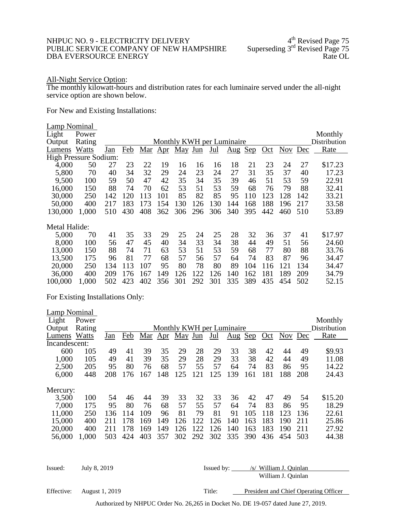#### NHPUC NO. 9 - ELECTRICITY DELIVERY 4<sup>th</sup> Revised Page 75<br>PUBLIC SERVICE COMPANY OF NEW HAMPSHIRE Superseding 3<sup>rd</sup> Revised Page 75 PUBLIC SERVICE COMPANY OF NEW HAMPSHIRE Superseding 3<sup>rd</sup> Revised Page 75<br>DBA EVERSOURCE ENERGY DBA EVERSOURCE ENERGY

#### All-Night Service Option:

The monthly kilowatt-hours and distribution rates for each luminaire served under the all-night service option are shown below.

For New and Existing Installations:

| <b>Lamp Nominal</b>   |        |     |     |     |     |                           |     |     |                                 |     |     |            |     |              |
|-----------------------|--------|-----|-----|-----|-----|---------------------------|-----|-----|---------------------------------|-----|-----|------------|-----|--------------|
| Light                 | Power  |     |     |     |     |                           |     |     |                                 |     |     |            |     | Monthly      |
| Output                | Rating |     |     |     |     | Monthly KWH per Luminaire |     |     |                                 |     |     |            |     | Distribution |
| Lumens                | Watts  | Jan | Feb | Mar | Apr | May Jun                   |     | Jul | $\frac{\text{Aug}}{\text{Aug}}$ | Sep | Oct | <b>Nov</b> | Dec | Rate         |
| High Pressure Sodium: |        |     |     |     |     |                           |     |     |                                 |     |     |            |     |              |
| 4,000                 | 50     | 27  | 23  | 22  | 19  | 16                        | 16  | 16  | 18                              | 21  | 23  | 24         | 27  | \$17.23      |
| 5,800                 | 70     | 40  | 34  | 32  | 29  | 24                        | 23  | 24  | 27                              | 31  | 35  | 37         | 40  | 17.23        |
| 9,500                 | 100    | 59  | 50  | 47  | 42  | 35                        | 34  | 35  | 39                              | 46  | 51  | 53         | 59  | 22.91        |
| 16,000                | 150    | 88  | 74  | 70  | 62  | 53                        | 51  | 53  | 59                              | 68  | 76  | 79         | 88  | 32.41        |
| 30,000                | 250    | 142 | 120 | 113 | 101 | 85                        | 82  | 85  | 95                              | 110 | 123 | 128        | 142 | 33.21        |
| 50,000                | 400    | 217 | 183 | 173 | 154 | 130                       | 126 | 130 | 144                             | 168 | 188 | 196        | 217 | 33.58        |
| 130,000               | 1,000  | 510 | 430 | 408 | 362 | 306                       | 296 | 306 | 340                             | 395 | 442 | 460        | 510 | 53.89        |
|                       |        |     |     |     |     |                           |     |     |                                 |     |     |            |     |              |
| Metal Halide:         |        |     |     |     |     |                           |     |     |                                 |     |     |            |     |              |
| 5,000                 | 70     | 41  | 35  | 33  | 29  | 25                        | 24  | 25  | 28                              | 32  | 36  | 37         | 41  | \$17.97      |
| 8,000                 | 100    | 56  | 47  | 45  | 40  | 34                        | 33  | 34  | 38                              | 44  | 49  | 51         | 56  | 24.60        |
| 13,000                | 150    | 88  | 74  | 71  | 63  | 53                        | 51  | 53  | 59                              | 68  | 77  | 80         | 88  | 33.76        |
| 13,500                | 175    | 96  | 81  | 77  | 68  | 57                        | 56  | 57  | 64                              | 74  | 83  | 87         | 96  | 34.47        |
| 20,000                | 250    | 134 | 113 | 107 | 95  | 80                        | 78  | 80  | 89                              | 104 | 116 | 121        | 134 | 34.47        |
| 36,000                | 400    | 209 | 176 | 167 | 149 | 126                       | 122 | 126 | 140                             | 162 | 181 | 189        | 209 | 34.79        |
| 100,000               | 1,000  | 502 | 423 | 402 | 356 | 301                       | 292 | 301 | 335                             | 389 | 435 | 454        | 502 | 52.15        |
|                       |        |     |     |     |     |                           |     |     |                                 |     |     |            |     |              |

For Existing Installations Only:

Lamp Nominal Light Power Monthly **Monthly KWH** per Luminaire Monthly **Monthly**<br>
Output Rating Monthly **Monthly KWH** per Luminaire Distribution Monthly KWH per Luminaire Distribution<br>Jan Feb Mar Apr May Jun Jul Aug Sep Oct Nov Dec Rate Lumens Watts Jan Feb Mar Apr May Jun Jul Aug Sep Oct Nov Dec Rate Incandescent: 600 105 49 41 39 35 29 28 29 33 38 42 44 49 \$9.93 1,000 105 49 41 39 35 29 28 29 33 38 42 44 49 11.08 2,500 205 95 80 76 68 57 55 57 64 74 83 86 95 14.22 6,000 448 208 176 167 148 125 121 125 139 161 181 188 208 24.43 Mercury:<br>3,500 3,500 100 54 46 44 39 33 32 33 36 42 47 49 54 \$15.20 7,000 175 95 80 76 68 57 55 57 64 74 83 86 95 18.29 11,000 250 136 114 109 96 81 79 81 91 105 118 123 136 22.61 15,000 400 211 178 169 149 126 122 126 140 163 183 190 211 25.86 20,000 400 211 178 169 149 126 122 126 140 163 183 190 211 27.92 56,000 1,000 503 424 403 357 302 292 302 335 390 436 454 503 44.38

| Issued:    | July 8, 2019          | Issued by: | /s/ William J. Quinlan                |
|------------|-----------------------|------------|---------------------------------------|
|            |                       |            | William J. Ouinlan                    |
| Effective: | <b>August 1, 2019</b> | Title:     | President and Chief Operating Officer |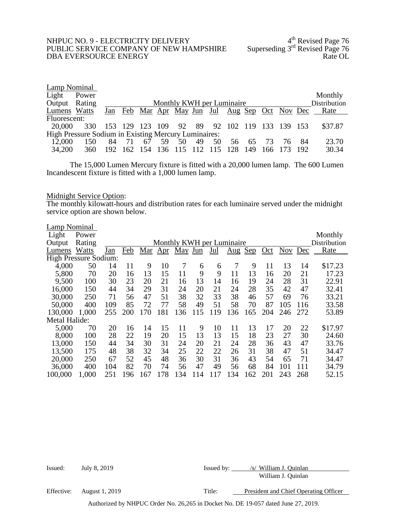# NHPUC NO. 9 - ELECTRICITY DELIVERY 4<sup>th</sup> Revised Page 76 PUBLIC SERVICE COMPANY OF NEW HAMPSHIRE Superseding 3<sup>rd</sup> Revised Page 76 PUBLIC SERVICE COMPANY OF NEW HAMPSHIRE Superseding 3rd Revised Page 76<br>DBA EVERSOURCE ENERGY DBA EVERSOURCE ENERGY

| Lamp Nominal  |                                                             |     |     |    |             |                           |    |    |    |     |    |                                                 |     |              |
|---------------|-------------------------------------------------------------|-----|-----|----|-------------|---------------------------|----|----|----|-----|----|-------------------------------------------------|-----|--------------|
| Light         | Power                                                       |     |     |    |             |                           |    |    |    |     |    |                                                 |     | Monthly      |
| Output Rating |                                                             |     |     |    |             | Monthly KWH per Luminaire |    |    |    |     |    |                                                 |     | Distribution |
| Lumens Watts  |                                                             |     |     |    |             |                           |    |    |    |     |    | Jan Feb Mar Apr May Jun Jul Aug Sep Oct Nov Dec |     | Rate         |
| Fluorescent:  |                                                             |     |     |    |             |                           |    |    |    |     |    |                                                 |     |              |
| 20,000        | 330                                                         |     |     |    |             |                           |    |    |    |     |    | 153 129 123 109 92 89 92 102 119 133 139 153    |     | \$37.87      |
|               | <b>High Pressure Sodium in Existing Mercury Luminaires:</b> |     |     |    |             |                           |    |    |    |     |    |                                                 |     |              |
| 12,000        | 150                                                         | 84  | 71  | 67 | 59          | 50                        | 49 | 50 | 56 | 65  | 73 | 76                                              | -84 | 23.70        |
| 34,200        | 360                                                         | 192 | 162 |    | 154 136 115 |                           |    |    |    | 149 |    | 166 173                                         | 192 | 30.34        |

The 15,000 Lumen Mercury fixture is fitted with a 20,000 lumen lamp. The 600 Lumen Incandescent fixture is fitted with a 1,000 lumen lamp.

# Midnight Service Option:

The monthly kilowatt-hours and distribution rates for each luminaire served under the midnight service option are shown below.

| Lamp Nominal                 |        |     |     |     |         |         |     |     |                                 |            |     |         |     |              |
|------------------------------|--------|-----|-----|-----|---------|---------|-----|-----|---------------------------------|------------|-----|---------|-----|--------------|
| Light                        | Power  |     |     |     |         |         |     |     |                                 |            |     |         |     | Monthly      |
| Output                       | Rating |     |     |     |         |         |     |     | Monthly KWH per Luminaire       |            |     |         |     | Distribution |
| Lumens                       | Watts  | Jan | Feb |     | Mar Apr | May Jun |     | Jul | $\frac{\text{Aug}}{\text{Aug}}$ | <u>Sep</u> | Oct | Nov Dec |     | Rate         |
| <b>High Pressure Sodium:</b> |        |     |     |     |         |         |     |     |                                 |            |     |         |     |              |
| 4,000                        | 50     | 14  | 11  | 9   | 10      | 7       | 6   | 6   | 7                               | 9          | 11  | 13      | 14  | \$17.23      |
| 5,800                        | 70     | 20  | 16  | 13  | 15      | 11      | 9   | 9   | 11                              | 13         | 16  | 20      | 21  | 17.23        |
| 9,500                        | 100    | 30  | 23  | 20  | 21      | 16      | 13  | 14  | 16                              | 19         | 24  | 28      | 31  | 22.91        |
| 16,000                       | 150    | 44  | 34  | 29  | 31      | 24      | 20  | 21  | 24                              | 28         | 35  | 42      | 47  | 32.41        |
| 30,000                       | 250    | 71  | 56  | 47  | 51      | 38      | 32  | 33  | 38                              | 46         | 57  | 69      | 76  | 33.21        |
| 50,000                       | 400    | 109 | 85  | 72  | 77      | 58      | 49  | 51  | 58                              | 70         | 87  | 105     | 116 | 33.58        |
| 130,000                      | 1,000  | 255 | 200 | 170 | 181     | 136     | 115 | 119 | 136                             | 165        | 204 | 246     | 272 | 53.89        |
| <b>Metal Halide:</b>         |        |     |     |     |         |         |     |     |                                 |            |     |         |     |              |
| 5,000                        | 70     | 20  | 16  | 14  | 15      | 11      | 9   | 10  | 11                              | 13         | 17  | 20      | 22  | \$17.97      |
| 8,000                        | 100    | 28  | 22  | 19  | 20      | 15      | 13  | 13  | 15                              | 18         | 23  | 27      | 30  | 24.60        |
| 13,000                       | 150    | 44  | 34  | 30  | 31      | 24      | 20  | 21  | 24                              | 28         | 36  | 43      | 47  | 33.76        |
| 13,500                       | 175    | 48  | 38  | 32  | 34      | 25      | 22  | 22  | 26                              | 31         | 38  | 47      | 51  | 34.47        |
| 20,000                       | 250    | 67  | 52  | 45  | 48      | 36      | 30  | 31  | 36                              | 43         | 54  | 65      | 71  | 34.47        |
| 36,000                       | 400    | 104 | 82  | 70  | 74      | 56      | 47  | 49  | 56                              | 68         | 84  | 101     | 111 | 34.79        |
| 100,000                      | 1,000  | 251 | 96  | 167 | 178     | 134     | 114 | 117 | 134                             | 162        | 201 | 243     | 268 | 52.15        |

| Issued:    | July 8, 2019   | Issued by: | /s/ William J. Ouinlan                |
|------------|----------------|------------|---------------------------------------|
|            |                |            | William J. Quinlan                    |
| Effective: | August 1, 2019 | Title:     | President and Chief Operating Officer |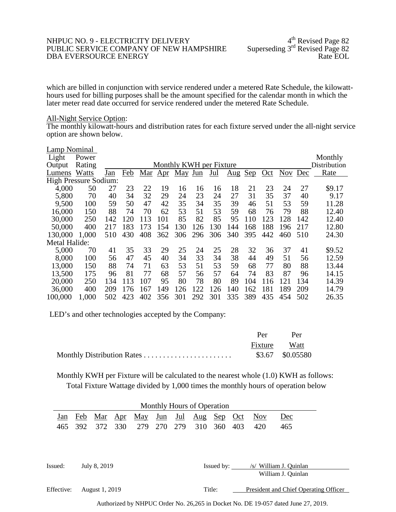#### NHPUC NO. 9 - ELECTRICITY DELIVERY 4<sup>th</sup> Revised Page 82<br>PUBLIC SERVICE COMPANY OF NEW HAMPSHIRE Superseding 3<sup>rd</sup> Revised Page 82 PUBLIC SERVICE COMPANY OF NEW HAMPSHIRE Superseding 3<sup>rd</sup> Revised Page 82<br>DBA EVERSOURCE ENERGY Rate EOL DBA EVERSOURCE ENERGY

which are billed in conjunction with service rendered under a metered Rate Schedule, the kilowatt-<br>hours used for billing purposes shall be the amount specified for the calendar month in which the later meter read date occurred for service rendered under the metered Rate Schedule.

### All-Night Service Option:

The monthly kilowatt-hours and distribution rates for each fixture served under the all-night service option are shown below.

| Lamp Nominal          |        |     |     |     |     |                         |     |     |                                 |            |     |            |     |              |
|-----------------------|--------|-----|-----|-----|-----|-------------------------|-----|-----|---------------------------------|------------|-----|------------|-----|--------------|
| Light                 | Power  |     |     |     |     |                         |     |     |                                 |            |     |            |     | Monthly      |
| Output                | Rating |     |     |     |     | Monthly KWH per Fixture |     |     |                                 |            |     |            |     | Distribution |
| Lumens                | Watts  | Jan | Feb | Mar | Apr | May Jun                 |     | Jul | $\frac{\text{Aug}}{\text{Aug}}$ | <u>Sep</u> | Oct | <b>Nov</b> | Dec | Rate         |
| High Pressure Sodium: |        |     |     |     |     |                         |     |     |                                 |            |     |            |     |              |
| 4,000                 | 50     | 27  | 23  | 22  | 19  | 16                      | 16  | 16  | 18                              | 21         | 23  | 24         | 27  | \$9.17       |
| 5,800                 | 70     | 40  | 34  | 32  | 29  | 24                      | 23  | 24  | 27                              | 31         | 35  | 37         | 40  | 9.17         |
| 9,500                 | 100    | 59  | 50  | 47  | 42  | 35                      | 34  | 35  | 39                              | 46         | 51  | 53         | 59  | 11.28        |
| 16,000                | 150    | 88  | 74  | 70  | 62  | 53                      | 51  | 53  | 59                              | 68         | 76  | 79         | 88  | 12.40        |
| 30,000                | 250    | 142 | 120 | 113 | 101 | 85                      | 82  | 85  | 95                              | 110        | 123 | 128        | 142 | 12.40        |
| 50,000                | 400    | 217 | 183 | 173 | 154 | 130                     | 126 | 130 | 144                             | 168        | 188 | 196        | 217 | 12.80        |
| 130,000               | 1,000  | 510 | 430 | 408 | 362 | 306                     | 296 | 306 | 340                             | 395        | 442 | 460        | 510 | 24.30        |
| Metal Halide:         |        |     |     |     |     |                         |     |     |                                 |            |     |            |     |              |
| 5,000                 | 70     | 41  | 35  | 33  | 29  | 25                      | 24  | 25  | 28                              | 32         | 36  | 37         | 41  | \$9.52       |
| 8,000                 | 100    | 56  | 47  | 45  | 40  | 34                      | 33  | 34  | 38                              | 44         | 49  | 51         | 56  | 12.59        |
| 13,000                | 150    | 88  | 74  | 71  | 63  | 53                      | 51  | 53  | 59                              | 68         | 77  | 80         | 88  | 13.44        |
| 13,500                | 175    | 96  | 81  | 77  | 68  | 57                      | 56  | 57  | 64                              | 74         | 83  | 87         | 96  | 14.15        |
| 20,000                | 250    | 134 | 113 | 107 | 95  | 80                      | 78  | 80  | 89                              | 104        | 116 | 121        | 134 | 14.39        |
| 36,000                | 400    | 209 | 176 | 167 | 149 | 126                     | 122 | 126 | 140                             | 162        | 181 | 189        | 209 | 14.79        |
| 100,000               | 1,000  | 502 | 423 | 402 | 356 | 301                     | 292 | 301 | 335                             | 389        | 435 | 454        | 502 | 26.35        |

LED's and other technologies accepted by the Company:

| Per          | Per              |
|--------------|------------------|
| Fixture Watt |                  |
|              | \$3.67 \$0.05580 |

Monthly KWH per Fixture will be calculated to the nearest whole (1.0) KWH as follows: Total Fixture Wattage divided by 1,000 times the monthly hours of operation below

|            |     |                |     |                        |         | Monthly Hours of Operation |         |     |            |                                                         |
|------------|-----|----------------|-----|------------------------|---------|----------------------------|---------|-----|------------|---------------------------------------------------------|
| Jan        | Feb |                |     | <u>Mar Apr May Jun</u> | $Jul$   | Aug                        | Sep     | Oct | <b>Nov</b> | Dec                                                     |
| 465        | 392 | 372            | 330 | 279                    | 270 279 |                            | 310 360 | 403 | 420        | 465                                                     |
|            |     |                |     |                        |         |                            |         |     |            |                                                         |
|            |     |                |     |                        |         |                            |         |     |            |                                                         |
|            |     |                |     |                        |         |                            |         |     |            |                                                         |
| Issued:    |     | July 8, 2019   |     |                        |         |                            |         |     |            | Issued by: /s/ William J. Quinlan<br>William J. Quinlan |
|            |     |                |     |                        |         |                            |         |     |            |                                                         |
| Effective: |     | August 1, 2019 |     |                        |         |                            | Title:  |     |            | President and Chief Operating Officer                   |